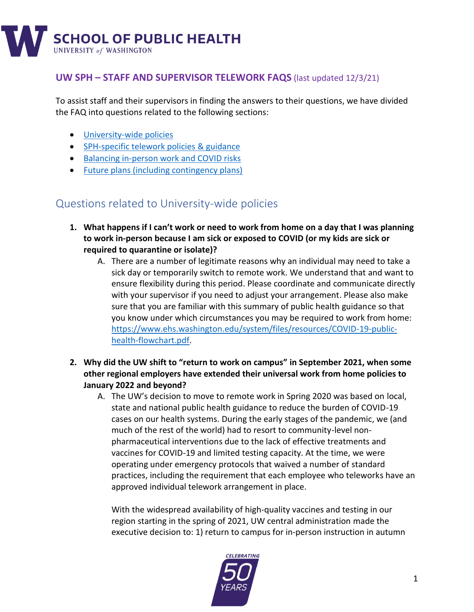

# **UW SPH – STAFF AND SUPERVISOR TELEWORK FAQS** (last updated 12/3/21)

To assist staff and their supervisors in finding the answers to their questions, we have divided the FAQ into questions related to the following sections:

- [University-wide policies](#page-0-0)
- [SPH-specific telework policies](#page-3-0) & guidance
- [Balancing in-person work and COVID risks](#page-5-0)
- [Future plans \(including contingency plans\)](#page-10-0)

# <span id="page-0-0"></span>Questions related to University-wide policies

- **1. What happens if I can't work or need to work from home on a day that I was planning to work in-person because I am sick or exposed to COVID (or my kids are sick or required to quarantine or isolate)?**
	- A. There are a number of legitimate reasons why an individual may need to take a sick day or temporarily switch to remote work. We understand that and want to ensure flexibility during this period. Please coordinate and communicate directly with your supervisor if you need to adjust your arrangement. Please also make sure that you are familiar with this summary of public health guidance so that you know under which circumstances you may be required to work from home: [https://www.ehs.washington.edu/system/files/resources/COVID-19-public](https://www.ehs.washington.edu/system/files/resources/COVID-19-public-health-flowchart.pdf)[health-flowchart.pdf.](https://www.ehs.washington.edu/system/files/resources/COVID-19-public-health-flowchart.pdf)
- **2. Why did the UW shift to "return to work on campus" in September 2021, when some other regional employers have extended their universal work from home policies to January 2022 and beyond?**
	- A. The UW's decision to move to remote work in Spring 2020 was based on local, state and national public health guidance to reduce the burden of COVID-19 cases on our health systems. During the early stages of the pandemic, we (and much of the rest of the world) had to resort to community-level nonpharmaceutical interventions due to the lack of effective treatments and vaccines for COVID-19 and limited testing capacity. At the time, we were operating under emergency protocols that waived a number of standard practices, including the requirement that each employee who teleworks have an approved individual telework arrangement in place.

With the widespread availability of high-quality vaccines and testing in our region starting in the spring of 2021, UW central administration made the executive decision to: 1) return to campus for in-person instruction in autumn

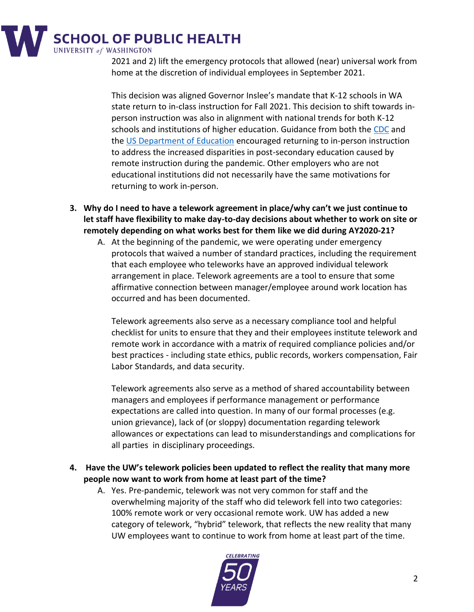

2021 and 2) lift the emergency protocols that allowed (near) universal work from home at the discretion of individual employees in September 2021.

This decision was aligned Governor Inslee's mandate that K-12 schools in WA state return to in-class instruction for Fall 2021. This decision to shift towards inperson instruction was also in alignment with national trends for both K-12 schools and institutions of higher education. Guidance from both the [CDC](https://www.cdc.gov/coronavirus/2019-ncov/community/colleges-universities/considerations.html) and the [US Department of Education](https://www2.ed.gov/documents/coronavirus/reopening-3.pdf) encouraged returning to in-person instruction to address the increased disparities in post-secondary education caused by remote instruction during the pandemic. Other employers who are not educational institutions did not necessarily have the same motivations for returning to work in-person.

- **3. Why do I need to have a telework agreement in place/why can't we just continue to let staff have flexibility to make day-to-day decisions about whether to work on site or remotely depending on what works best for them like we did during AY2020-21?**
	- A. At the beginning of the pandemic, we were operating under emergency protocols that waived a number of standard practices, including the requirement that each employee who teleworks have an approved individual telework arrangement in place. Telework agreements are a tool to ensure that some affirmative connection between manager/employee around work location has occurred and has been documented.

Telework agreements also serve as a necessary compliance tool and helpful checklist for units to ensure that they and their employees institute telework and remote work in accordance with a matrix of required compliance policies and/or best practices - including state ethics, public records, workers compensation, Fair Labor Standards, and data security.

Telework agreements also serve as a method of shared accountability between managers and employees if performance management or performance expectations are called into question. In many of our formal processes (e.g. union grievance), lack of (or sloppy) documentation regarding telework allowances or expectations can lead to misunderstandings and complications for all parties in disciplinary proceedings.

- **4. Have the UW's telework policies been updated to reflect the reality that many more people now want to work from home at least part of the time?**
	- A. Yes. Pre-pandemic, telework was not very common for staff and the overwhelming majority of the staff who did telework fell into two categories: 100% remote work or very occasional remote work. UW has added a new category of telework, "hybrid" telework, that reflects the new reality that many UW employees want to continue to work from home at least part of the time.

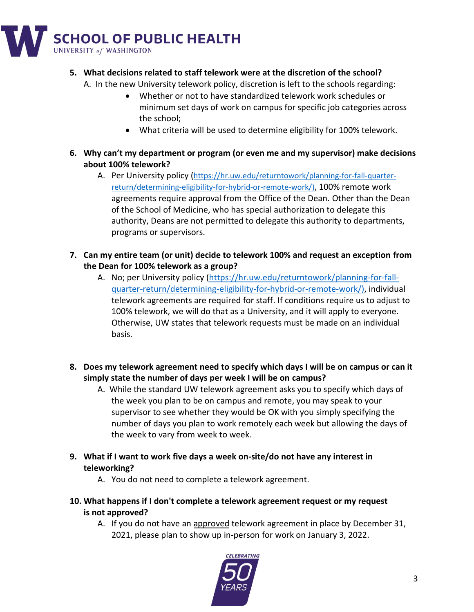

#### **5. What decisions related to staff telework were at the discretion of the school?**

A. In the new University telework policy, discretion is left to the schools regarding:

- Whether or not to have standardized telework work schedules or minimum set days of work on campus for specific job categories across the school;
- What criteria will be used to determine eligibility for 100% telework.
- **6. Why can't my department or program (or even me and my supervisor) make decisions about 100% telework?**
	- A. Per University policy ([https://hr.uw.edu/returntowork/planning-for-fall-quarter](https://hr.uw.edu/returntowork/planning-for-fall-quarter-return/determining-eligibility-for-hybrid-or-remote-work/)[return/determining-eligibility-for-hybrid-or-remote-work/\)](https://hr.uw.edu/returntowork/planning-for-fall-quarter-return/determining-eligibility-for-hybrid-or-remote-work/), 100% remote work agreements require approval from the Office of the Dean. Other than the Dean of the School of Medicine, who has special authorization to delegate this authority, Deans are not permitted to delegate this authority to departments, programs or supervisors.
- **7. Can my entire team (or unit) decide to telework 100% and request an exception from the Dean for 100% telework as a group?**
	- A. No; per University policy [\(https://hr.uw.edu/returntowork/planning-for-fall](https://hr.uw.edu/returntowork/planning-for-fall-quarter-return/determining-eligibility-for-hybrid-or-remote-work/)[quarter-return/determining-eligibility-for-hybrid-or-remote-work/\)](https://hr.uw.edu/returntowork/planning-for-fall-quarter-return/determining-eligibility-for-hybrid-or-remote-work/), individual telework agreements are required for staff. If conditions require us to adjust to 100% telework, we will do that as a University, and it will apply to everyone. Otherwise, UW states that telework requests must be made on an individual basis.
- **8. Does my telework agreement need to specify which days I will be on campus or can it simply state the number of days per week I will be on campus?**
	- A. While the standard UW telework agreement asks you to specify which days of the week you plan to be on campus and remote, you may speak to your supervisor to see whether they would be OK with you simply specifying the number of days you plan to work remotely each week but allowing the days of the week to vary from week to week.
- **9. What if I want to work five days a week on-site/do not have any interest in teleworking?**
	- A. You do not need to complete a telework agreement.
- **10. What happens if I don't complete a telework agreement request or my request is not approved?**
	- A. If you do not have an approved telework agreement in place by December 31, 2021, please plan to show up in-person for work on January 3, 2022.

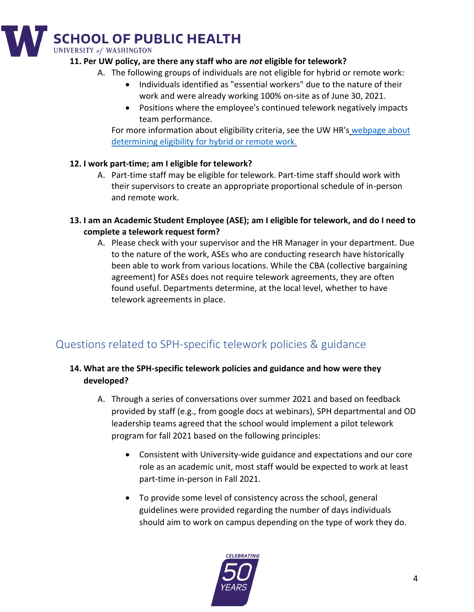# **SCHOOL OF PUBLIC HEALTH UNIVERSITY of WASHINGTON**

#### **11. Per UW policy, are there any staff who are** *not* **eligible for telework?**

- A. The following groups of individuals are not eligible for hybrid or remote work:
	- Individuals identified as "essential workers" due to the nature of their work and were already working 100% on-site as of June 30, 2021.
	- Positions where the employee's continued telework negatively impacts team performance.

For more information about eligibility criteria, see the UW HR's webpage about determining eligibility [for hybrid or remote work.](https://hr.uw.edu/returntowork/planning-for-fall-quarter-return/determining-eligibility-for-hybrid-or-remote-work/)

### **12. I work part-time; am I eligible for telework?**

- A. Part-time staff may be eligible for telework. Part-time staff should work with their supervisors to create an appropriate proportional schedule of in-person and remote work.
- **13. I am an Academic Student Employee (ASE); am I eligible for telework, and do I need to complete a telework request form?**
	- A. Please check with your supervisor and the HR Manager in your department. Due to the nature of the work, ASEs who are conducting research have historically been able to work from various locations. While the CBA (collective bargaining agreement) for ASEs does not require telework agreements, they are often found useful. Departments determine, at the local level, whether to have telework agreements in place.

# <span id="page-3-0"></span>Questions related to SPH-specific telework policies & guidance

# **14. What are the SPH-specific telework policies and guidance and how were they developed?**

- A. Through a series of conversations over summer 2021 and based on feedback provided by staff (e.g., from google docs at webinars), SPH departmental and OD leadership teams agreed that the school would implement a pilot telework program for fall 2021 based on the following principles:
	- Consistent with University-wide guidance and expectations and our core role as an academic unit, most staff would be expected to work at least part-time in-person in Fall 2021.
	- To provide some level of consistency across the school, general guidelines were provided regarding the number of days individuals should aim to work on campus depending on the type of work they do.

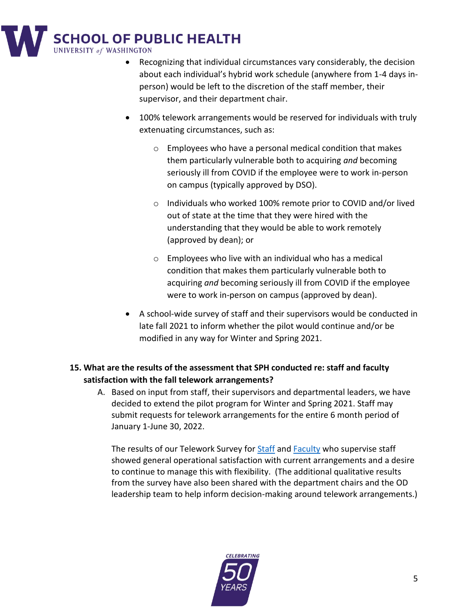

- Recognizing that individual circumstances vary considerably, the decision about each individual's hybrid work schedule (anywhere from 1-4 days inperson) would be left to the discretion of the staff member, their supervisor, and their department chair.
- 100% telework arrangements would be reserved for individuals with truly extenuating circumstances, such as:
	- o Employees who have a personal medical condition that makes them particularly vulnerable both to acquiring *and* becoming seriously ill from COVID if the employee were to work in-person on campus (typically approved by DSO).
	- o Individuals who worked 100% remote prior to COVID and/or lived out of state at the time that they were hired with the understanding that they would be able to work remotely (approved by dean); or
	- o Employees who live with an individual who has a medical condition that makes them particularly vulnerable both to acquiring *and* becoming seriously ill from COVID if the employee were to work in-person on campus (approved by dean).
- A school-wide survey of staff and their supervisors would be conducted in late fall 2021 to inform whether the pilot would continue and/or be modified in any way for Winter and Spring 2021.

# **15. What are the results of the assessment that SPH conducted re: staff and faculty satisfaction with the fall telework arrangements?**

A. Based on input from staff, their supervisors and departmental leaders, we have decided to extend the pilot program for Winter and Spring 2021. Staff may submit requests for telework arrangements for the entire 6 month period of January 1-June 30, 2022.

The results of our Telework Survey for [Staff](https://uwnetid-my.sharepoint.com/:b:/g/personal/farqs_uw_edu/EdKZoqM5zNJPjaMIF1zI9_oBQnQBakqOGccNOv-57DWyHg?e=nwsiac) and [Faculty](https://uwnetid-my.sharepoint.com/:b:/g/personal/farqs_uw_edu/EUsOM2-xFCZDsV9XBNvY4PcBNtbWFU_britFQ1C68jQ6lA?e=pgQoI7) who supervise staff showed general operational satisfaction with current arrangements and a desire to continue to manage this with flexibility. (The additional qualitative results from the survey have also been shared with the department chairs and the OD leadership team to help inform decision-making around telework arrangements.)

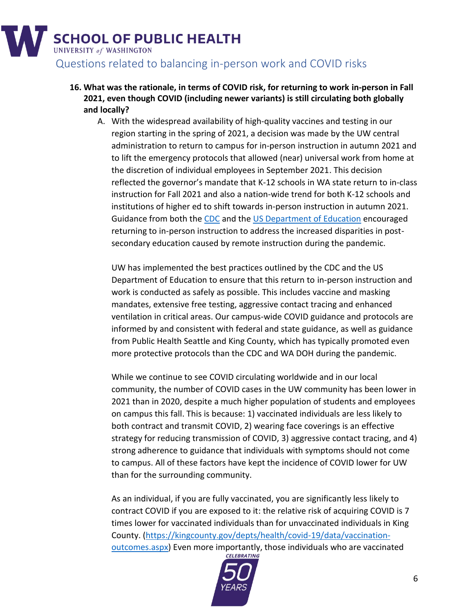

- <span id="page-5-0"></span>**16. What was the rationale, in terms of COVID risk, for returning to work in-person in Fall 2021, even though COVID (including newer variants) is still circulating both globally and locally?**
	- A. With the widespread availability of high-quality vaccines and testing in our region starting in the spring of 2021, a decision was made by the UW central administration to return to campus for in-person instruction in autumn 2021 and to lift the emergency protocols that allowed (near) universal work from home at the discretion of individual employees in September 2021. This decision reflected the governor's mandate that K-12 schools in WA state return to in-class instruction for Fall 2021 and also a nation-wide trend for both K-12 schools and institutions of higher ed to shift towards in-person instruction in autumn 2021. Guidance from both the [CDC](https://www.cdc.gov/coronavirus/2019-ncov/community/colleges-universities/considerations.html) and the [US Department of Education](https://www2.ed.gov/documents/coronavirus/reopening-3.pdf) encouraged returning to in-person instruction to address the increased disparities in postsecondary education caused by remote instruction during the pandemic.

UW has implemented the best practices outlined by the CDC and the US Department of Education to ensure that this return to in-person instruction and work is conducted as safely as possible. This includes vaccine and masking mandates, extensive free testing, aggressive contact tracing and enhanced ventilation in critical areas. Our campus-wide COVID guidance and protocols are informed by and consistent with federal and state guidance, as well as guidance from Public Health Seattle and King County, which has typically promoted even more protective protocols than the CDC and WA DOH during the pandemic.

While we continue to see COVID circulating worldwide and in our local community, the number of COVID cases in the UW community has been lower in 2021 than in 2020, despite a much higher population of students and employees on campus this fall. This is because: 1) vaccinated individuals are less likely to both contract and transmit COVID, 2) wearing face coverings is an effective strategy for reducing transmission of COVID, 3) aggressive contact tracing, and 4) strong adherence to guidance that individuals with symptoms should not come to campus. All of these factors have kept the incidence of COVID lower for UW than for the surrounding community.

As an individual, if you are fully vaccinated, you are significantly less likely to contract COVID if you are exposed to it: the relative risk of acquiring COVID is 7 times lower for vaccinated individuals than for unvaccinated individuals in King County. [\(https://kingcounty.gov/depts/health/covid-19/data/vaccination](https://kingcounty.gov/depts/health/covid-19/data/vaccination-outcomes.aspx)[outcomes.aspx\)](https://kingcounty.gov/depts/health/covid-19/data/vaccination-outcomes.aspx) Even more importantly, those individuals who are vaccinated cuttomes.

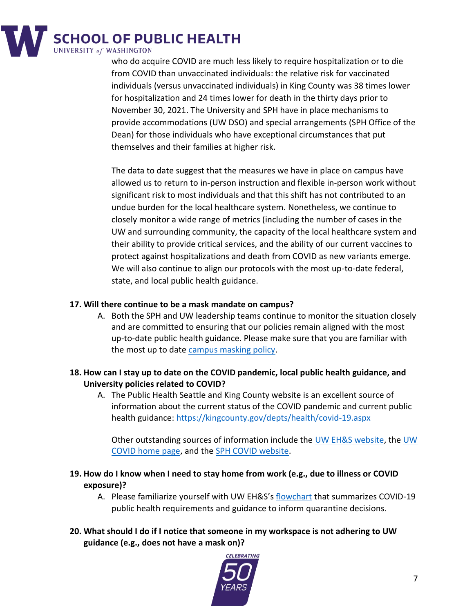

who do acquire COVID are much less likely to require hospitalization or to die from COVID than unvaccinated individuals: the relative risk for vaccinated individuals (versus unvaccinated individuals) in King County was 38 times lower for hospitalization and 24 times lower for death in the thirty days prior to November 30, 2021. The University and SPH have in place mechanisms to provide accommodations (UW DSO) and special arrangements (SPH Office of the Dean) for those individuals who have exceptional circumstances that put themselves and their families at higher risk.

The data to date suggest that the measures we have in place on campus have allowed us to return to in-person instruction and flexible in-person work without significant risk to most individuals and that this shift has not contributed to an undue burden for the local healthcare system. Nonetheless, we continue to closely monitor a wide range of metrics (including the number of cases in the UW and surrounding community, the capacity of the local healthcare system and their ability to provide critical services, and the ability of our current vaccines to protect against hospitalizations and death from COVID as new variants emerge. We will also continue to align our protocols with the most up-to-date federal, state, and local public health guidance.

#### **17. Will there continue to be a mask mandate on campus?**

- A. Both the SPH and UW leadership teams continue to monitor the situation closely and are committed to ensuring that our policies remain aligned with the most up-to-date public health guidance. Please make sure that you are familiar with the most up to date [campus masking policy.](https://www.ehs.washington.edu/covid-19-prevention-and-response/face-covering-requirements)
- **18. How can I stay up to date on the COVID pandemic, local public health guidance, and University policies related to COVID?**
	- A. The Public Health Seattle and King County website is an excellent source of information about the current status of the COVID pandemic and current public health guidance:<https://kingcounty.gov/depts/health/covid-19.aspx>

Other outstanding sources of information include the [UW EH&S website,](https://www.ehs.washington.edu/covid-19-prevention-and-response/covid-19-health-and-safety) th[e UW](https://www.washington.edu/coronavirus/)  [COVID home page,](https://www.washington.edu/coronavirus/) and the [SPH COVID website.](https://sph.washington.edu/coronavirus)

- **19. How do I know when I need to stay home from work (e.g., due to illness or COVID exposure)?**
	- A. Please familiarize yourself with UW EH&S's [flowchart](https://www.ehs.washington.edu/system/files/resources/COVID-19-public-health-flowchart.pdf) that summarizes COVID-19 public health requirements and guidance to inform quarantine decisions.
- **20. What should I do if I notice that someone in my workspace is not adhering to UW guidance (e.g., does not have a mask on)?**

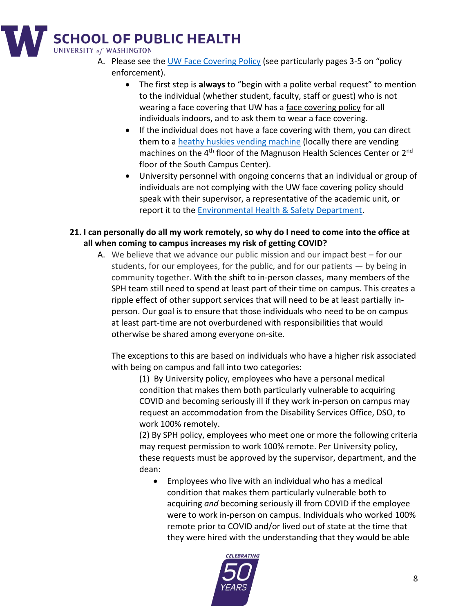

- A. Please see the [UW Face Covering Policy](https://www.ehs.washington.edu/system/files/resources/COVID-19-face-cover-policy.pdf) (see particularly pages 3-5 on "policy enforcement).
	- The first step is **always** to "begin with a polite verbal request" to mention to the individual (whether student, faculty, staff or guest) who is not wearing a face covering that UW has a face covering policy for all individuals indoors, and to ask them to wear a face covering.
	- If the individual does not have a face covering with them, you can direct them to a [heathy huskies vending machine](https://www.washington.edu/coronavirus/healthy-huskies-vending/) (locally there are vending machines on the 4<sup>th</sup> floor of the Magnuson Health Sciences Center or 2<sup>nd</sup> floor of the South Campus Center).
	- University personnel with ongoing concerns that an individual or group of individuals are not complying with the UW face covering policy should speak with their supervisor, a representative of the academic unit, or report it to the Environmental Health & Safety Department.
- **21. I can personally do all my work remotely, so why do I need to come into the office at all when coming to campus increases my risk of getting COVID?**
	- A. We believe that we advance our public mission and our impact best for our students, for our employees, for the public, and for our patients — by being in community together. With the shift to in-person classes, many members of the SPH team still need to spend at least part of their time on campus. This creates a ripple effect of other support services that will need to be at least partially inperson. Our goal is to ensure that those individuals who need to be on campus at least part-time are not overburdened with responsibilities that would otherwise be shared among everyone on-site.

The exceptions to this are based on individuals who have a higher risk associated with being on campus and fall into two categories:

(1) By University policy, employees who have a personal medical condition that makes them both particularly vulnerable to acquiring COVID and becoming seriously ill if they work in-person on campus may request an accommodation from the Disability Services Office, DSO, to work 100% remotely.

(2) By SPH policy, employees who meet one or more the following criteria may request permission to work 100% remote. Per University policy, these requests must be approved by the supervisor, department, and the dean:

• Employees who live with an individual who has a medical condition that makes them particularly vulnerable both to acquiring *and* becoming seriously ill from COVID if the employee were to work in-person on campus. Individuals who worked 100% remote prior to COVID and/or lived out of state at the time that they were hired with the understanding that they would be able

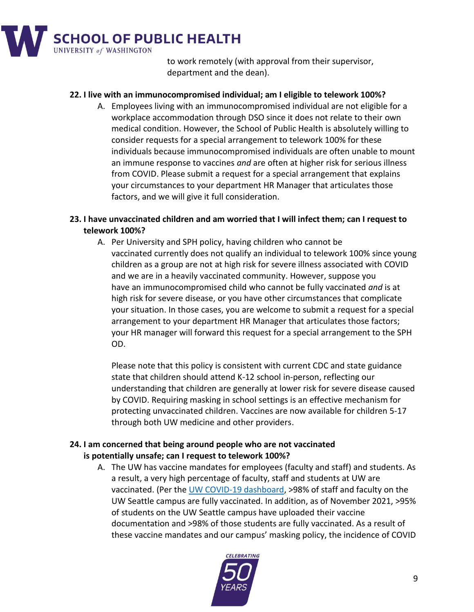

to work remotely (with approval from their supervisor, department and the dean).

#### **22. I live with an immunocompromised individual; am I eligible to telework 100%?**

A. Employees living with an immunocompromised individual are not eligible for a workplace accommodation through DSO since it does not relate to their own medical condition. However, the School of Public Health is absolutely willing to consider requests for a special arrangement to telework 100% for these individuals because immunocompromised individuals are often unable to mount an immune response to vaccines *and* are often at higher risk for serious illness from COVID. Please submit a request for a special arrangement that explains your circumstances to your department HR Manager that articulates those factors, and we will give it full consideration.

#### **23. I have unvaccinated children and am worried that I will infect them; can I request to telework 100%?**

A. Per University and SPH policy, having children who cannot be vaccinated currently does not qualify an individual to telework 100% since young children as a group are not at high risk for severe illness associated with COVID and we are in a heavily vaccinated community. However, suppose you have an immunocompromised child who cannot be fully vaccinated *and* is at high risk for severe disease, or you have other circumstances that complicate your situation. In those cases, you are welcome to submit a request for a special arrangement to your department HR Manager that articulates those factors; your HR manager will forward this request for a special arrangement to the SPH OD.

Please note that this policy is consistent with current CDC and state guidance state that children should attend K-12 school in-person, reflecting our understanding that children are generally at lower risk for severe disease caused by COVID. Requiring masking in school settings is an effective mechanism for protecting unvaccinated children. Vaccines are now available for children 5-17 through both UW medicine and other providers.

#### **24. I am concerned that being around people who are not vaccinated is potentially unsafe; can I request to telework 100%?**

A. The UW has vaccine mandates for employees (faculty and staff) and students. As a result, a very high percentage of faculty, staff and students at UW are vaccinated. (Per the [UW COVID-19 dashboard,](https://www.washington.edu/coronavirus/testing-results/) >98% of staff and faculty on the UW Seattle campus are fully vaccinated. In addition, as of November 2021, >95% of students on the UW Seattle campus have uploaded their vaccine documentation and >98% of those students are fully vaccinated. As a result of these vaccine mandates and our campus' masking policy, the incidence of COVID

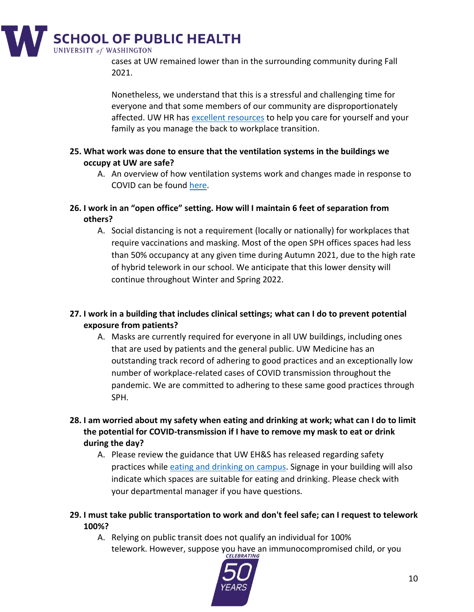

cases at UW remained lower than in the surrounding community during Fall 2021.

Nonetheless, we understand that this is a stressful and challenging time for everyone and that some members of our community are disproportionately affected. UW HR has excellent resources to help you care for yourself and your family as you manage the back to workplace transition.

- **25. What work was done to ensure that the ventilation systems in the buildings we occupy at UW are safe?**
	- A. An overview of how ventilation systems work and changes made in response to COVID can be foun[d here.](https://facilities.uw.edu/news/how-ventilation-uw-buildings-works)

**26. I work in an "open office" setting. How will I maintain 6 feet of separation from others?**

A. Social distancing is not a requirement (locally or nationally) for workplaces that require vaccinations and masking. Most of the open SPH offices spaces had less than 50% occupancy at any given time during Autumn 2021, due to the high rate of hybrid telework in our school. We anticipate that this lower density will continue throughout Winter and Spring 2022.

### **27. I work in a building that includes clinical settings; what can I do to prevent potential exposure from patients?**

- A. Masks are currently required for everyone in all UW buildings, including ones that are used by patients and the general public. UW Medicine has an outstanding track record of adhering to good practices and an exceptionally low number of workplace-related cases of COVID transmission throughout the pandemic. We are committed to adhering to these same good practices through SPH.
- **28. I am worried about my safety when eating and drinking at work; what can I do to limit the potential for COVID-transmission if I have to remove my mask to eat or drink during the day?**
	- A. Please review the guidance that UW EH&S has released regarding safety practices whil[e eating and drinking on campus.](https://www.ehs.washington.edu/system/files/resources/eating-space-guidance.pdf) Signage in your building will also indicate which spaces are suitable for eating and drinking. Please check with your departmental manager if you have questions.
- **29. I must take public transportation to work and don't feel safe; can I request to telework 100%?**
	- A. Relying on public transit does not qualify an individual for 100% telework. However, suppose you have an immunocompromised child, or you